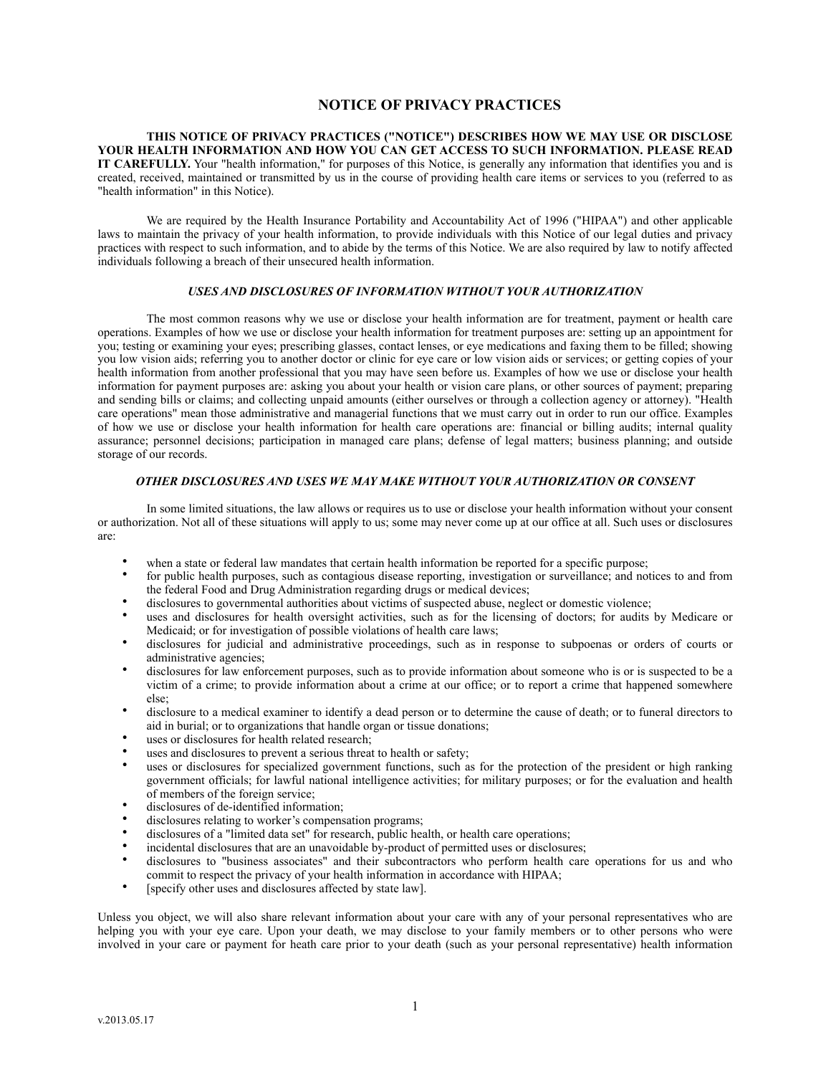# **NOTICE OF PRIVACY PRACTICES**

**THIS NOTICE OF PRIVACY PRACTICES ("NOTICE") DESCRIBES HOW WE MAY USE OR DISCLOSE YOUR HEALTH INFORMATION AND HOW YOU CAN GET ACCESS TO SUCH INFORMATION. PLEASE READ IT CAREFULLY.** Your "health information," for purposes of this Notice, is generally any information that identifies you and is created, received, maintained or transmitted by us in the course of providing health care items or services to you (referred to as "health information" in this Notice).

We are required by the Health Insurance Portability and Accountability Act of 1996 ("HIPAA") and other applicable laws to maintain the privacy of your health information, to provide individuals with this Notice of our legal duties and privacy practices with respect to such information, and to abide by the terms of this Notice. We are also required by law to notify affected individuals following a breach of their unsecured health information.

## *USES AND DISCLOSURES OF INFORMATION WITHOUT YOUR AUTHORIZATION*

The most common reasons why we use or disclose your health information are for treatment, payment or health care operations. Examples of how we use or disclose your health information for treatment purposes are: setting up an appointment for you; testing or examining your eyes; prescribing glasses, contact lenses, or eye medications and faxing them to be filled; showing you low vision aids; referring you to another doctor or clinic for eye care or low vision aids or services; or getting copies of your health information from another professional that you may have seen before us. Examples of how we use or disclose your health information for payment purposes are: asking you about your health or vision care plans, or other sources of payment; preparing and sending bills or claims; and collecting unpaid amounts (either ourselves or through a collection agency or attorney). "Health care operations" mean those administrative and managerial functions that we must carry out in order to run our office. Examples of how we use or disclose your health information for health care operations are: financial or billing audits; internal quality assurance; personnel decisions; participation in managed care plans; defense of legal matters; business planning; and outside storage of our records.

# *OTHER DISCLOSURES AND USES WE MAY MAKE WITHOUT YOUR AUTHORIZATION OR CONSENT*

In some limited situations, the law allows or requires us to use or disclose your health information without your consent or authorization. Not all of these situations will apply to us; some may never come up at our office at all. Such uses or disclosures are:

- when a state or federal law mandates that certain health information be reported for a specific purpose;
- for public health purposes, such as contagious disease reporting, investigation or surveillance; and notices to and from the federal Food and Drug Administration regarding drugs or medical devices;
- disclosures to governmental authorities about victims of suspected abuse, neglect or domestic violence;
- uses and disclosures for health oversight activities, such as for the licensing of doctors; for audits by Medicare or Medicaid; or for investigation of possible violations of health care laws;
- disclosures for judicial and administrative proceedings, such as in response to subpoenas or orders of courts or administrative agencies;
- disclosures for law enforcement purposes, such as to provide information about someone who is or is suspected to be a victim of a crime; to provide information about a crime at our office; or to report a crime that happened somewhere else;
- disclosure to a medical examiner to identify a dead person or to determine the cause of death; or to funeral directors to aid in burial; or to organizations that handle organ or tissue donations;
- uses or disclosures for health related research;
- uses and disclosures to prevent a serious threat to health or safety;
- uses or disclosures for specialized government functions, such as for the protection of the president or high ranking government officials; for lawful national intelligence activities; for military purposes; or for the evaluation and health of members of the foreign service;
- disclosures of de-identified information:
- disclosures relating to worker's compensation programs;
- disclosures of a "limited data set" for research, public health, or health care operations;
- incidental disclosures that are an unavoidable by-product of permitted uses or disclosures;
- disclosures to "business associates" and their subcontractors who perform health care operations for us and who commit to respect the privacy of your health information in accordance with HIPAA;
- [specify other uses and disclosures affected by state law].

Unless you object, we will also share relevant information about your care with any of your personal representatives who are helping you with your eye care. Upon your death, we may disclose to your family members or to other persons who were involved in your care or payment for heath care prior to your death (such as your personal representative) health information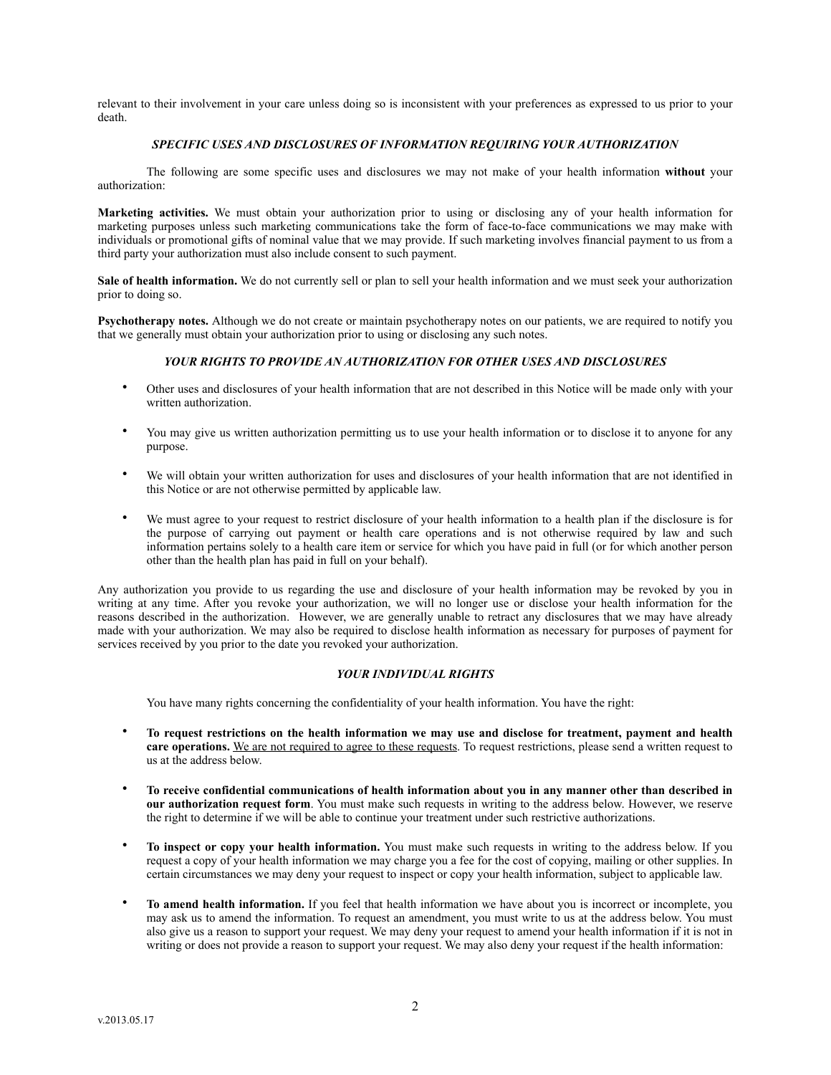relevant to their involvement in your care unless doing so is inconsistent with your preferences as expressed to us prior to your death.

# *SPECIFIC USES AND DISCLOSURES OF INFORMATION REQUIRING YOUR AUTHORIZATION*

The following are some specific uses and disclosures we may not make of your health information **without** your authorization:

**Marketing activities.** We must obtain your authorization prior to using or disclosing any of your health information for marketing purposes unless such marketing communications take the form of face-to-face communications we may make with individuals or promotional gifts of nominal value that we may provide. If such marketing involves financial payment to us from a third party your authorization must also include consent to such payment.

Sale of health information. We do not currently sell or plan to sell your health information and we must seek your authorization prior to doing so.

**Psychotherapy notes.** Although we do not create or maintain psychotherapy notes on our patients, we are required to notify you that we generally must obtain your authorization prior to using or disclosing any such notes.

### *YOUR RIGHTS TO PROVIDE AN AUTHORIZATION FOR OTHER USES AND DISCLOSURES*

- Other uses and disclosures of your health information that are not described in this Notice will be made only with your written authorization.
- You may give us written authorization permitting us to use your health information or to disclose it to anyone for any purpose.
- We will obtain your written authorization for uses and disclosures of your health information that are not identified in this Notice or are not otherwise permitted by applicable law.
- We must agree to your request to restrict disclosure of your health information to a health plan if the disclosure is for the purpose of carrying out payment or health care operations and is not otherwise required by law and such information pertains solely to a health care item or service for which you have paid in full (or for which another person other than the health plan has paid in full on your behalf).

Any authorization you provide to us regarding the use and disclosure of your health information may be revoked by you in writing at any time. After you revoke your authorization, we will no longer use or disclose your health information for the reasons described in the authorization. However, we are generally unable to retract any disclosures that we may have already made with your authorization. We may also be required to disclose health information as necessary for purposes of payment for services received by you prior to the date you revoked your authorization.

#### *YOUR INDIVIDUAL RIGHTS*

You have many rights concerning the confidentiality of your health information. You have the right:

- **To request restrictions on the health information we may use and disclose for treatment, payment and health**  care operations. We are not required to agree to these requests. To request restrictions, please send a written request to us at the address below.
- **To receive confidential communications of health information about you in any manner other than described in our authorization request form**. You must make such requests in writing to the address below. However, we reserve the right to determine if we will be able to continue your treatment under such restrictive authorizations.
- **To inspect or copy your health information.** You must make such requests in writing to the address below. If you request a copy of your health information we may charge you a fee for the cost of copying, mailing or other supplies. In certain circumstances we may deny your request to inspect or copy your health information, subject to applicable law.
- **To amend health information.** If you feel that health information we have about you is incorrect or incomplete, you may ask us to amend the information. To request an amendment, you must write to us at the address below. You must also give us a reason to support your request. We may deny your request to amend your health information if it is not in writing or does not provide a reason to support your request. We may also deny your request if the health information: